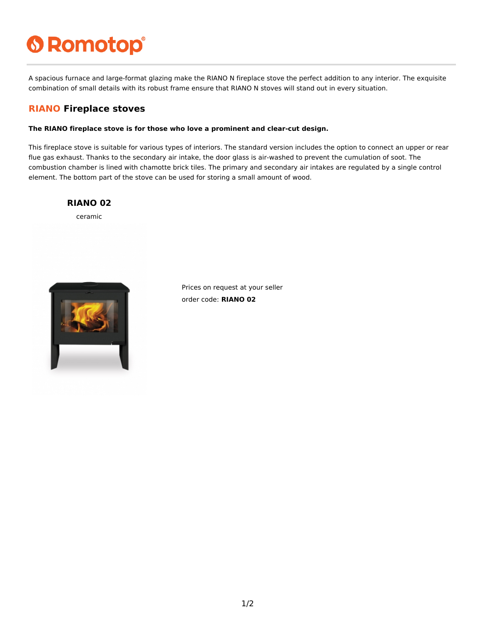# **6 Romotop®**

A spacious furnace and large-format glazing make the RIANO N fireplace stove the perfect addition to any interior. The exquisite combination of small details with its robust frame ensure that RIANO N stoves will stand out in every situation.

### **RIANO Fireplace stoves**

#### **The RIANO fireplace stove is for those who love a prominent and clear-cut design.**

This fireplace stove is suitable for various types of interiors. The standard version includes the option to connect an upper or rear flue gas exhaust. Thanks to the secondary air intake, the door glass is air-washed to prevent the cumulation of soot. The combustion chamber is lined with chamotte brick tiles. The primary and secondary air intakes are regulated by a single control element. The bottom part of the stove can be used for storing a small amount of wood.

#### **RIANO 02**

ceramic



Prices on request at your seller order code: **RIANO 02**